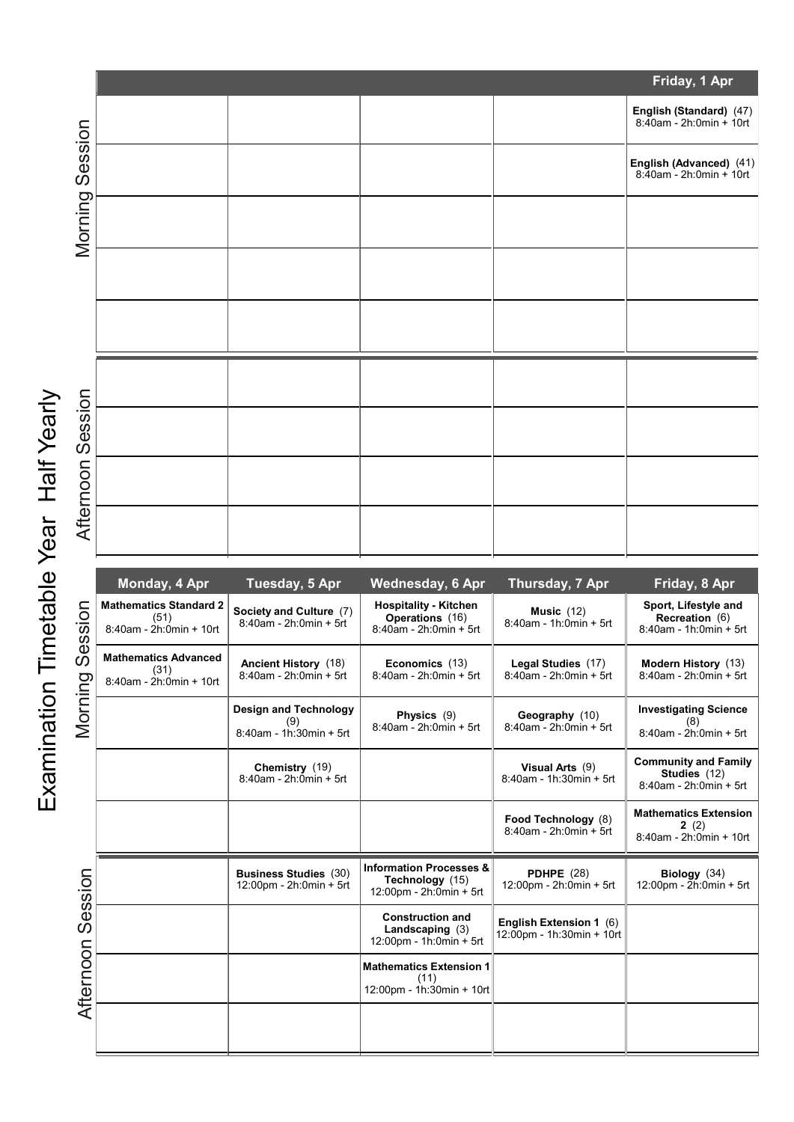|           | Friday, 1 Apr                                                    |                                                   |                                                                           |                                               |                                                                     |  |  |  |
|-----------|------------------------------------------------------------------|---------------------------------------------------|---------------------------------------------------------------------------|-----------------------------------------------|---------------------------------------------------------------------|--|--|--|
| Session   |                                                                  |                                                   |                                                                           |                                               | <b>English (Standard)</b> (47)<br>8:40am - 2h:0min + 10rt           |  |  |  |
|           |                                                                  |                                                   |                                                                           |                                               | English (Advanced) (41)<br>8:40am - 2h:0min + 10rt                  |  |  |  |
| Morning   |                                                                  |                                                   |                                                                           |                                               |                                                                     |  |  |  |
|           |                                                                  |                                                   |                                                                           |                                               |                                                                     |  |  |  |
|           |                                                                  |                                                   |                                                                           |                                               |                                                                     |  |  |  |
|           |                                                                  |                                                   |                                                                           |                                               |                                                                     |  |  |  |
| Session   |                                                                  |                                                   |                                                                           |                                               |                                                                     |  |  |  |
|           |                                                                  |                                                   |                                                                           |                                               |                                                                     |  |  |  |
| Afternoon |                                                                  |                                                   |                                                                           |                                               |                                                                     |  |  |  |
|           | Monday, 4 Apr                                                    | Tuesday, 5 Apr                                    | Wednesday, 6 Apr                                                          | Thursday, 7 Apr                               | Friday, 8 Apr                                                       |  |  |  |
| Session   | <b>Mathematics Standard 2</b><br>(51)<br>8:40am - 2h:0min + 10rt | Society and Culture (7)<br>8:40am - 2h:0min + 5rt | <b>Hospitality - Kitchen</b><br>Operations (16)<br>8:40am - 2h:0min + 5rt | Music $(12)$<br>$8:40$ am - 1h: $0$ min + 5rt | Sport, Lifestyle and<br>Recreation (6)<br>$8:40$ am - 1h:0min + 5rt |  |  |  |
|           | <b>Mathematics Advanced</b><br>(24)                              | Ancient History (18)                              | Economics (13)                                                            | Legal Studies (17)                            | Modern History (13)                                                 |  |  |  |

|                                     | Monday, 4 Apr                                                          | Tuesday, 5 Apr                                                 | <b>Wednesday, 6 Apr</b>                                                                                   | Thursday, 7 Apr                                      | Friday, 8 Apr                                                           |
|-------------------------------------|------------------------------------------------------------------------|----------------------------------------------------------------|-----------------------------------------------------------------------------------------------------------|------------------------------------------------------|-------------------------------------------------------------------------|
| ession<br>$\overline{O}$<br>Morning | <b>Mathematics Standard 2</b><br>(51)<br>$8:40$ am - $2h:0$ min + 10rt | Society and Culture (7)<br>8:40am - 2h:0min + 5rt              | <b>Hospitality - Kitchen</b><br><b>Operations</b> (16)<br>8:40am - 2h:0min + 5rt                          | Music $(12)$<br>8:40am - 1h:0min + 5rt               | Sport, Lifestyle and<br><b>Recreation</b> (6)<br>8:40am - 1h:0min + 5rt |
|                                     | <b>Mathematics Advanced</b><br>(31)<br>8:40am - 2h:0min + 10rt         | Ancient History (18)<br>8:40am - 2h:0min + 5rt                 | Economics (13)<br>8:40am - 2h:0min + 5rt                                                                  | Legal Studies (17)<br>8:40am - 2h:0min + 5rt         | Modern History (13)<br>8:40am - 2h:0min + 5rt                           |
|                                     |                                                                        | <b>Design and Technology</b><br>(9)<br>8:40am - 1h:30min + 5rt | Physics (9)<br>8:40am - 2h:0min + 5rt                                                                     | Geography (10)<br>8:40am - 2h:0min + 5rt             | <b>Investigating Science</b><br>(8)<br>8:40am - 2h:0min + 5rt           |
| Session<br>Afternoon                |                                                                        | Chemistry (19)<br>8:40am - 2h:0min + 5rt                       |                                                                                                           | Visual Arts (9)<br>8:40am - 1h:30min + 5rt           | <b>Community and Family</b><br>Studies (12)<br>8:40am - 2h:0min + 5rt   |
|                                     |                                                                        |                                                                |                                                                                                           | Food Technology (8)<br>8:40am - 2h:0min + 5rt        | <b>Mathematics Extension</b><br>2(2)<br>8:40am - 2h:0min + 10rt         |
|                                     |                                                                        | <b>Business Studies (30)</b><br>12:00pm - 2h:0min + 5rt        | <b>Information Processes &amp;</b><br>Technology (15)<br>12:00pm - 2h:0min + 5rt                          | <b>PDHPE (28)</b><br>12:00pm - 2h:0min + 5rt         | Biology $(34)$<br>12:00pm - 2h:0min + 5rt                               |
|                                     |                                                                        |                                                                | <b>Construction and</b><br>Landscaping $(3)$<br>$12:00 \text{pm} - 1 \text{h}:0 \text{min} + 5 \text{rt}$ | English Extension 1 (6)<br>12:00pm - 1h:30min + 10rt |                                                                         |
|                                     |                                                                        |                                                                | <b>Mathematics Extension 1</b><br>(11)<br>12:00pm - 1h:30min + 10rt                                       |                                                      |                                                                         |
|                                     |                                                                        |                                                                |                                                                                                           |                                                      |                                                                         |
|                                     |                                                                        |                                                                |                                                                                                           |                                                      |                                                                         |